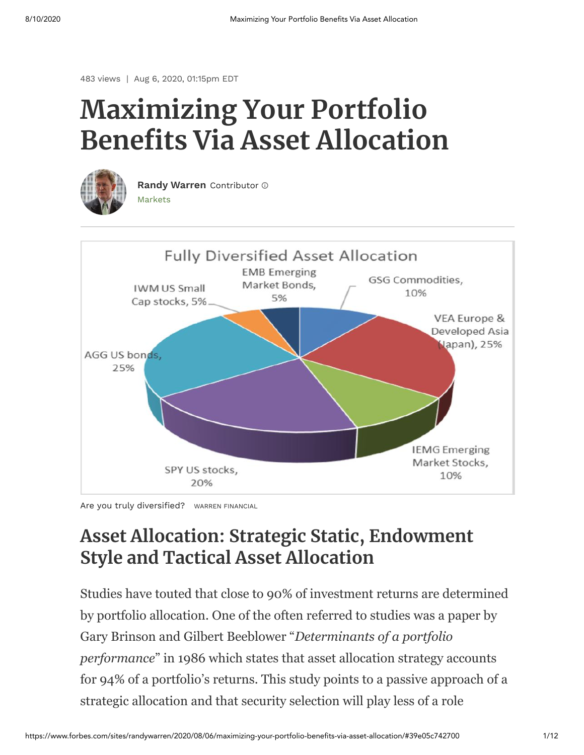483 views | Aug 6, 2020, 01:15pm EDT

# **Maximizing Your Portfolio Benefits Via Asset Allocation**



[Markets](https://www.forbes.com/markets) **[Randy Warren](https://www.forbes.com/sites/randywarren/)** Contributor



Are you truly diversified? WARREN FINANCIAL

## **Asset Allocation: Strategic Static, Endowment Style and Tactical Asset Allocation**

Studies have touted that close to 90% of investment returns are determined by portfolio allocation. One of the often referred to studies was a paper by Gary Brinson and Gilbert Beeblower "*Determinants of a portfolio performance*" in 1986 which states that asset allocation strategy accounts for 94% of a portfolio's returns. This study points to a passive approach of a strategic allocation and that security selection will play less of a role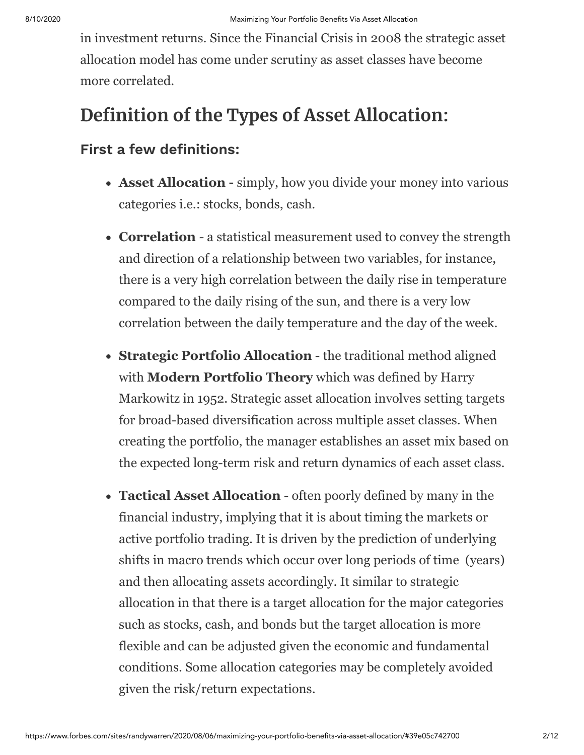in investment returns. Since the Financial Crisis in 2008 the strategic asset allocation model has come under scrutiny as asset classes have become more correlated.

## **Definition of the Types of Asset Allocation:**

#### **First a few definitions:**

- **Asset Allocation -** simply, how you divide your money into various categories i.e.: stocks, bonds, cash.
- **Correlation** *-* a statistical measurement used to convey the strength and direction of a relationship between two variables, for instance, there is a very high correlation between the daily rise in temperature compared to the daily rising of the sun, and there is a very low correlation between the daily temperature and the day of the week.
- **Strategic Portfolio Allocation** the traditional method aligned with **Modern Portfolio Theory** which was defined by Harry Markowitz in 1952. Strategic asset allocation involves setting targets for broad-based diversification across multiple asset classes. When creating the portfolio, the manager establishes an asset mix based on the expected long-term risk and return dynamics of each asset class.
- **Tactical Asset Allocation** often poorly defined by many in the financial industry, implying that it is about timing the markets or active portfolio trading. It is driven by the prediction of underlying shifts in macro trends which occur over long periods of time (years) and then allocating assets accordingly. It similar to strategic allocation in that there is a target allocation for the major categories such as stocks, cash, and bonds but the target allocation is more flexible and can be adjusted given the economic and fundamental conditions. Some allocation categories may be completely avoided given the risk/return expectations.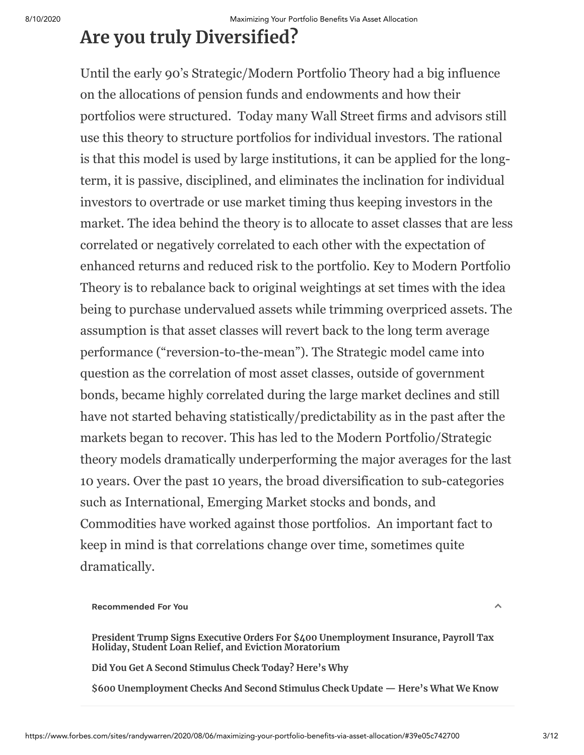#### **Are you truly Diversified?**

Until the early 90's Strategic/Modern Portfolio Theory had a big influence on the allocations of pension funds and endowments and how their portfolios were structured. Today many Wall Street firms and advisors still use this theory to structure portfolios for individual investors. The rational is that this model is used by large institutions, it can be applied for the longterm, it is passive, disciplined, and eliminates the inclination for individual investors to overtrade or use market timing thus keeping investors in the market. The idea behind the theory is to allocate to asset classes that are less correlated or negatively correlated to each other with the expectation of enhanced returns and reduced risk to the portfolio. Key to Modern Portfolio Theory is to rebalance back to original weightings at set times with the idea being to purchase undervalued assets while trimming overpriced assets. The assumption is that asset classes will revert back to the long term average performance ("reversion-to-the-mean"). The Strategic model came into question as the correlation of most asset classes, outside of government bonds, became highly correlated during the large market declines and still have not started behaving statistically/predictability as in the past after the markets began to recover. This has led to the Modern Portfolio/Strategic theory models dramatically underperforming the major averages for the last 10 years. Over the past 10 years, the broad diversification to sub-categories such as International, Emerging Market stocks and bonds, and Commodities have worked against those portfolios. An important fact to keep in mind is that correlations change over time, sometimes quite dramatically.

#### **Recommended For You**

Ä

**[President Trump Signs Executive Orders For \\$400 Unemployment Insurance, Payroll Tax](https://www.forbes.com/sites/jimwang/2020/08/08/president-trump-signs-executive-orders-for-payroll-tax-holiday-enhanced-unemployment-insurance-student-loans-deferred-and-eviction-moratorium/) Holiday, Student Loan Relief, and Eviction Moratorium**

**[Did You Get A Second Stimulus Check Today? Here's Why](https://www.forbes.com/sites/jimwang/2020/08/07/did-you-get-a-second-stimulus-check-today-heres-why/)**

**[\\$600 Unemployment Checks And Second Stimulus Check Update — Here's What We Know](https://www.forbes.com/sites/jrose/2020/08/07/600-unemployment-checks-and-second-stimulus-check-update---heres-what-we-know/)**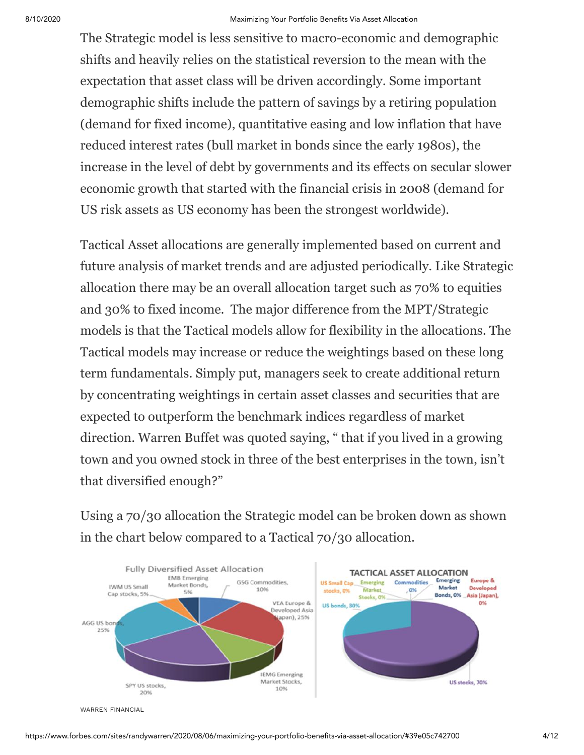The Strategic model is less sensitive to macro-economic and demographic shifts and heavily relies on the statistical reversion to the mean with the expectation that asset class will be driven accordingly. Some important demographic shifts include the pattern of savings by a retiring population (demand for fixed income), quantitative easing and low inflation that have reduced interest rates (bull market in bonds since the early 1980s), the increase in the level of debt by governments and its effects on secular slower economic growth that started with the financial crisis in 2008 (demand for US risk assets as US economy has been the strongest worldwide).

Tactical Asset allocations are generally implemented based on current and future analysis of market trends and are adjusted periodically. Like Strategic allocation there may be an overall allocation target such as 70% to equities and 30% to fixed income. The major difference from the MPT/Strategic models is that the Tactical models allow for flexibility in the allocations. The Tactical models may increase or reduce the weightings based on these long term fundamentals. Simply put, managers seek to create additional return by concentrating weightings in certain asset classes and securities that are expected to outperform the benchmark indices regardless of market direction. Warren Buffet was quoted saying, " that if you lived in a growing town and you owned stock in three of the best enterprises in the town, isn't that diversified enough?"

Using a 70/30 allocation the Strategic model can be broken down as shown in the chart below compared to a Tactical 70/30 allocation.



WARREN FINANCIAL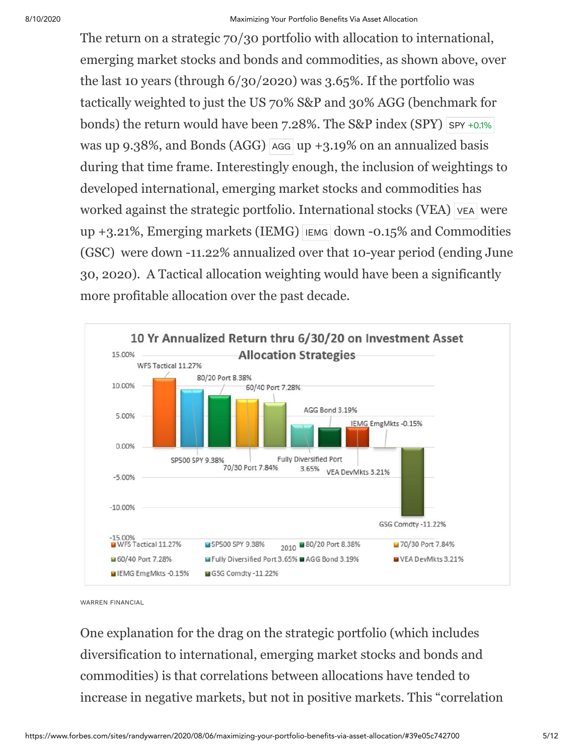The return on a strategic 70/30 portfolio with allocation to international, emerging market stocks and bonds and commodities, as shown above, over the last 10 years (through  $6/30/2020$ ) was 3.65%. If the portfolio was tactically weighted to just the US 70% S&P and 30% AGG (benchmark for bonds) the return would have been  $7.28\%$ . The S&P index (SPY) [SPY +0.1%](https://www.forbes.com/investment-funds/spy/) was up 9.38%, and Bonds ([AGG](https://www.forbes.com/investment-funds/agg/))  $\overline{AGG}$  up +3.19% on an annualized basis during that time frame. Interestingly enough, the inclusion of weightings to developed international, emerging market stocks and commodities has worked against the strategic portfolio. International stocks ([VEA](https://www.forbes.com/investment-funds/vea/))  $|vec$  were up  $+3.21\%$ , Emerging markets ([IEMG](https://www.forbes.com/investment-funds/iemg/))  $\overline{\phantom{a}}$  lemg down -0.15% and Commodities (GSC) were down -11.22% annualized over that 10-year period (ending June 30, 2020). A Tactical allocation weighting would have been a significantly more profitable allocation over the past decade.



WARREN FINANCIAL

One explanation for the drag on the strategic portfolio (which includes diversification to international, emerging market stocks and bonds and commodities) is that correlations between allocations have tended to increase in negative markets, but not in positive markets. This "correlation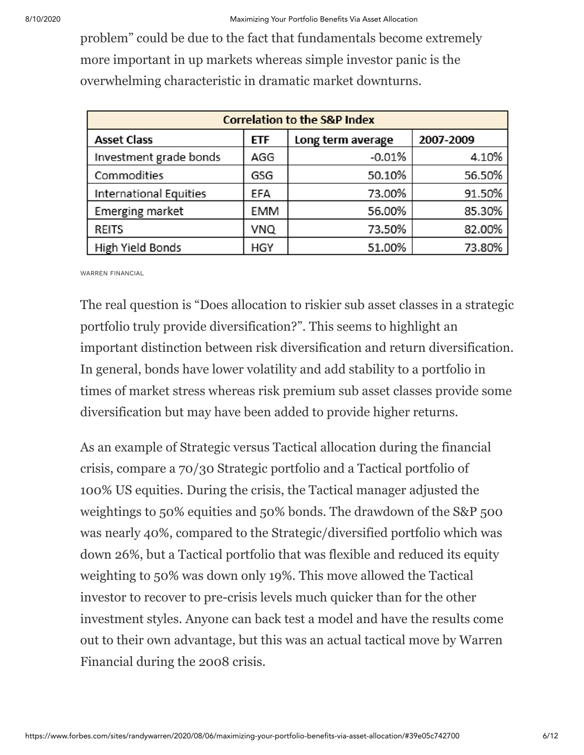problem" could be due to the fact that fundamentals become extremely more important in up markets whereas simple investor panic is the overwhelming characteristic in dramatic market downturns.

| <b>Correlation to the S&amp;P Index</b> |            |                   |           |  |  |  |  |  |  |
|-----------------------------------------|------------|-------------------|-----------|--|--|--|--|--|--|
| <b>Asset Class</b>                      | <b>ETF</b> | Long term average | 2007-2009 |  |  |  |  |  |  |
| Investment grade bonds                  | AGG        | $-0.01%$          | 4.10%     |  |  |  |  |  |  |
| Commodities                             | GSG        | 50.10%            | 56.50%    |  |  |  |  |  |  |
| <b>International Equities</b>           | EFA        | 73.00%            | 91.50%    |  |  |  |  |  |  |
| Emerging market                         | <b>EMM</b> | 56.00%            | 85.30%    |  |  |  |  |  |  |
| <b>REITS</b>                            | VNQ        | 73.50%            | 82.00%    |  |  |  |  |  |  |
| High Yield Bonds                        | HGY        | 51.00%            | 73.80%    |  |  |  |  |  |  |

WARREN FINANCIAL

The real question is "Does allocation to riskier sub asset classes in a strategic portfolio truly provide diversification?". This seems to highlight an important distinction between risk diversification and return diversification. In general, bonds have lower volatility and add stability to a portfolio in times of market stress whereas risk premium sub asset classes provide some diversification but may have been added to provide higher returns.

As an example of Strategic versus Tactical allocation during the financial crisis, compare a 70/30 Strategic portfolio and a Tactical portfolio of 100% US equities. During the crisis, the Tactical manager adjusted the weightings to 50% equities and 50% bonds. The drawdown of the S&P 500 was nearly 40%, compared to the Strategic/diversified portfolio which was down 26%, but a Tactical portfolio that was flexible and reduced its equity weighting to 50% was down only 19%. This move allowed the Tactical investor to recover to pre-crisis levels much quicker than for the other investment styles. Anyone can back test a model and have the results come out to their own advantage, but this was an actual tactical move by Warren Financial during the 2008 crisis.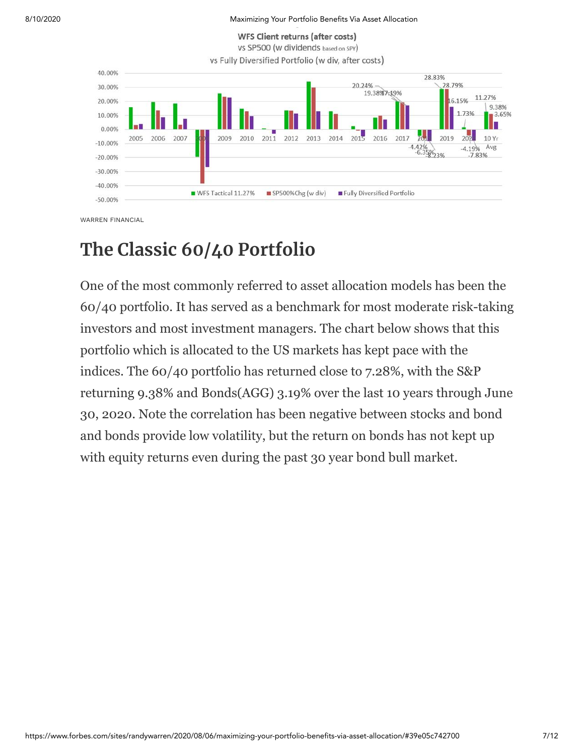8/10/2020 Maximizing Your Portfolio Benefits Via Asset Allocation

**WFS Client returns (after costs)** VS SP500 (w dividends based on SPY)

vs Fully Diversified Portfolio (w div, after costs)



WARREN FINANCIAL

## **The Classic 60/40 Portfolio**

One of the most commonly referred to asset allocation models has been the 60/40 portfolio. It has served as a benchmark for most moderate risk-taking investors and most investment managers. The chart below shows that this portfolio which is allocated to the US markets has kept pace with the indices. The 60/40 portfolio has returned close to 7.28%, with the S&P returning 9.38% and Bonds(AGG) 3.19% over the last 10 years through June 30, 2020. Note the correlation has been negative between stocks and bond and bonds provide low volatility, but the return on bonds has not kept up with equity returns even during the past 30 year bond bull market.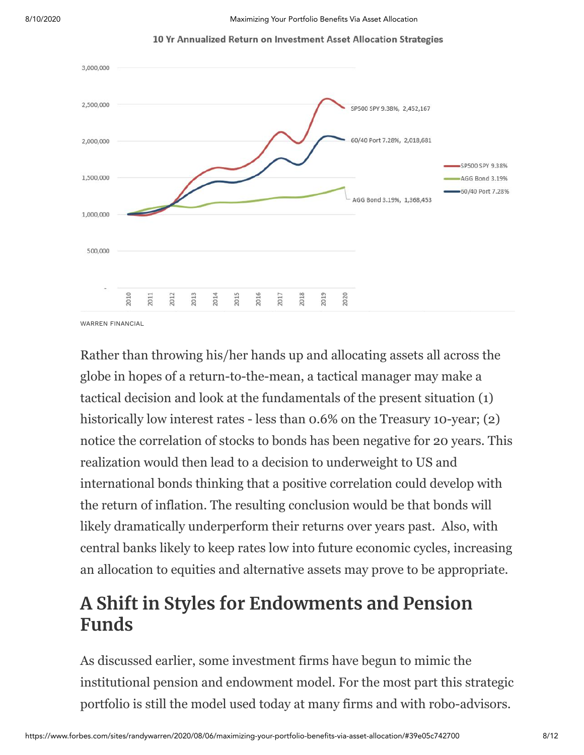

10 Yr Annualized Return on Investment Asset Allocation Strategies

WARREN FINANCIAL

Rather than throwing his/her hands up and allocating assets all across the globe in hopes of a return-to-the-mean, a tactical manager may make a tactical decision and look at the fundamentals of the present situation (1) historically low interest rates - less than 0.6% on the Treasury 10-year; (2) notice the correlation of stocks to bonds has been negative for 20 years. This realization would then lead to a decision to underweight to US and international bonds thinking that a positive correlation could develop with the return of inflation. The resulting conclusion would be that bonds will likely dramatically underperform their returns over years past. Also, with central banks likely to keep rates low into future economic cycles, increasing an allocation to equities and alternative assets may prove to be appropriate.

## **A Shift in Styles for Endowments and Pension Funds**

As discussed earlier, some investment firms have begun to mimic the institutional pension and endowment model. For the most part this strategic portfolio is still the model used today at many firms and with robo-advisors.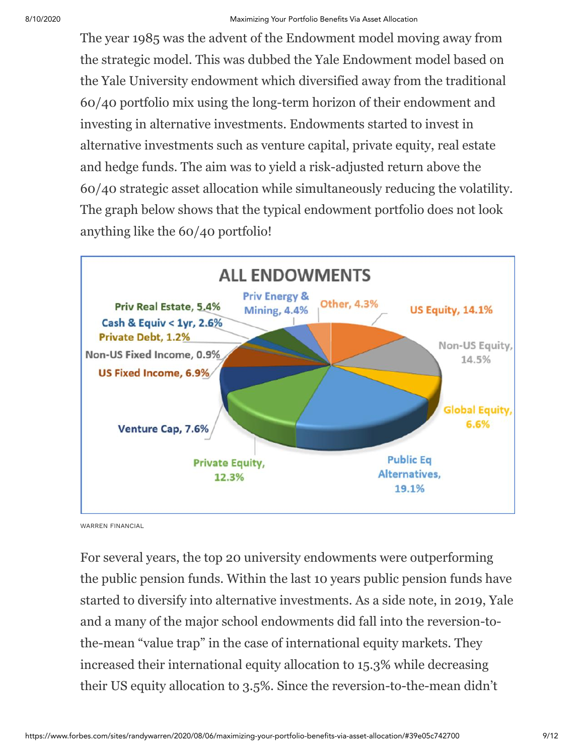The year 1985 was the advent of the Endowment model moving away from the strategic model. This was dubbed the Yale Endowment model based on the Yale University endowment which diversified away from the traditional 60/40 portfolio mix using the long-term horizon of their endowment and investing in alternative investments. Endowments started to invest in alternative investments such as venture capital, private equity, real estate and hedge funds. The aim was to yield a risk-adjusted return above the 60/40 strategic asset allocation while simultaneously reducing the volatility. The graph below shows that the typical endowment portfolio does not look anything like the 60/40 portfolio!



WARREN FINANCIAL

For several years, the top 20 university endowments were outperforming the public pension funds. Within the last 10 years public pension funds have started to diversify into alternative investments. As a side note, in 2019, Yale and a many of the major school endowments did fall into the reversion-tothe-mean "value trap" in the case of international equity markets. They increased their international equity allocation to 15.3% while decreasing their US equity allocation to 3.5%. Since the reversion-to-the-mean didn't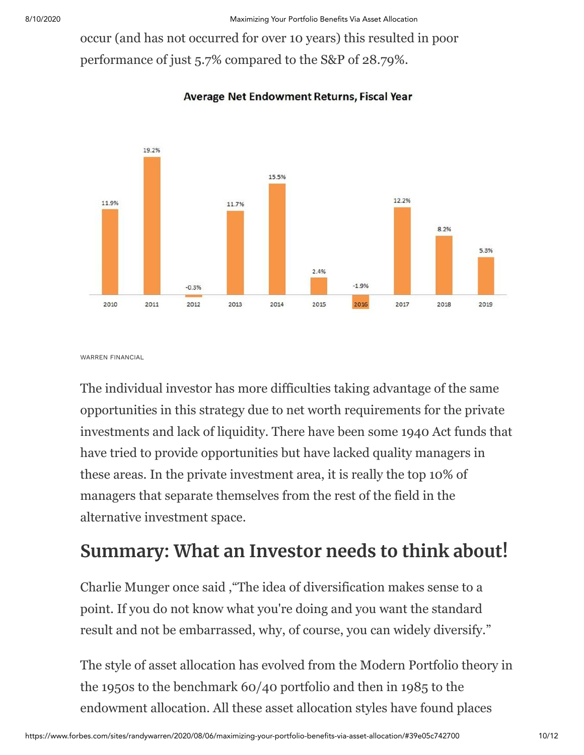occur (and has not occurred for over 10 years) this resulted in poor performance of just 5.7% compared to the S&P of 28.79%.



**Average Net Endowment Returns, Fiscal Year** 

WARREN FINANCIAL

The individual investor has more difficulties taking advantage of the same opportunities in this strategy due to net worth requirements for the private investments and lack of liquidity. There have been some 1940 Act funds that have tried to provide opportunities but have lacked quality managers in these areas. In the private investment area, it is really the top 10% of managers that separate themselves from the rest of the field in the alternative investment space.

## **Summary: What an Investor needs to think about!**

Charlie Munger once said ,"The idea of diversification makes sense to a point. If you do not know what you're doing and you want the standard result and not be embarrassed, why, of course, you can widely diversify."

The style of asset allocation has evolved from the Modern Portfolio theory in the 1950s to the benchmark 60/40 portfolio and then in 1985 to the endowment allocation. All these asset allocation styles have found places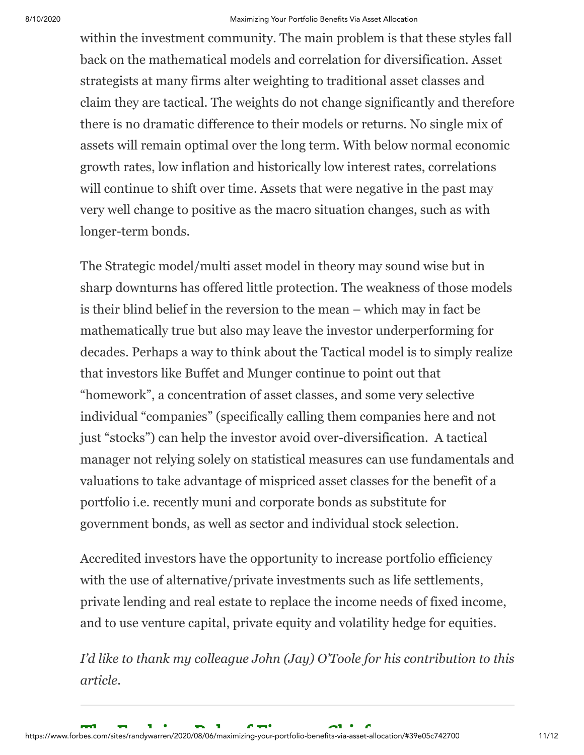#### 8/10/2020 Maximizing Your Portfolio Benefits Via Asset Allocation

within the investment community. The main problem is that these styles fall back on the mathematical models and correlation for diversification. Asset strategists at many firms alter weighting to traditional asset classes and claim they are tactical. The weights do not change significantly and therefore there is no dramatic difference to their models or returns. No single mix of assets will remain optimal over the long term. With below normal economic growth rates, low inflation and historically low interest rates, correlations will continue to shift over time. Assets that were negative in the past may very well change to positive as the macro situation changes, such as with longer-term bonds.

The Strategic model/multi asset model in theory may sound wise but in sharp downturns has offered little protection. The weakness of those models is their blind belief in the reversion to the mean – which may in fact be mathematically true but also may leave the investor underperforming for decades. Perhaps a way to think about the Tactical model is to simply realize that investors like Buffet and Munger continue to point out that "homework", a concentration of asset classes, and some very selective individual "companies" (specifically calling them companies here and not just "stocks") can help the investor avoid over-diversification. A tactical manager not relying solely on statistical measures can use fundamentals and valuations to take advantage of mispriced asset classes for the benefit of a portfolio i.e. recently muni and corporate bonds as substitute for government bonds, as well as sector and individual stock selection.

Accredited investors have the opportunity to increase portfolio efficiency with the use of alternative/private investments such as life settlements, private lending and real estate to replace the income needs of fixed income, and to use venture capital, private equity and volatility hedge for equities.

*I'd like to thank my colleague John (Jay) O'Toole for his contribution to this article.*